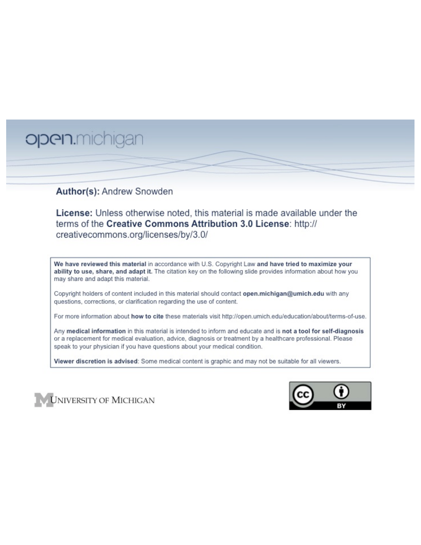# open.michigan

## Author(s): Andrew Snowden

License: Unless otherwise noted, this material is made available under the terms of the Creative Commons Attribution 3.0 License: http:// creativecommons.org/licenses/by/3.0/

We have reviewed this material in accordance with U.S. Copyright Law and have tried to maximize your ability to use, share, and adapt it. The citation key on the following slide provides information about how you may share and adapt this material.

Copyright holders of content included in this material should contact open.michigan@umich.edu with any questions, corrections, or clarification regarding the use of content.

For more information about how to cite these materials visit http://open.umich.edu/education/about/terms-of-use.

Any medical information in this material is intended to inform and educate and is not a tool for self-diagnosis or a replacement for medical evaluation, advice, diagnosis or treatment by a healthcare professional. Please speak to your physician if you have questions about your medical condition.

Viewer discretion is advised: Some medical content is graphic and may not be suitable for all viewers.



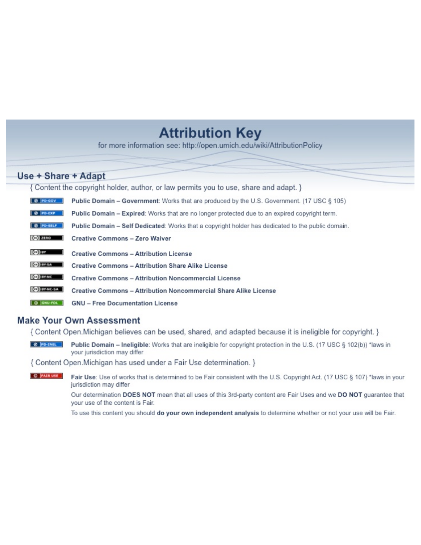## **Attribution Key**

for more information see: http://open.umich.edu/wiki/AttributionPolicy

## Use + Share + Adapt

{ Content the copyright holder, author, or law permits you to use, share and adapt. }

| @ PD-GOV                  | <b>Public Domain - Government:</b> Works that are produced by the U.S. Government. (17 USC § 105) |
|---------------------------|---------------------------------------------------------------------------------------------------|
| @ PD-EXP                  | Public Domain - Expired: Works that are no longer protected due to an expired copyright term.     |
| @ PO-SELF                 | Public Domain - Self Dedicated: Works that a copyright holder has dedicated to the public domain. |
| $(c2)$ 21110              | <b>Creative Commons - Zero Waiver</b>                                                             |
| $\left($ ce) $\right)$ my | <b>Creative Commons - Attribution License</b>                                                     |
| <b>CO</b> DY-SA           | <b>Creative Commons - Attribution Share Alike License</b>                                         |
| <b>CO</b> BY-NC           | <b>Creative Commons - Attribution Noncommercial License</b>                                       |
| <b>CO</b> BY-NC-SA        | Creative Commons - Attribution Noncommercial Share Alike License                                  |
| GNU-FOL                   | <b>GNU - Free Documentation License</b>                                                           |

## **Make Your Own Assessment**

{ Content Open. Michigan believes can be used, shared, and adapted because it is ineligible for copyright. }

Public Domain - Ineligible: Works that are ineligible for copyright protection in the U.S. (17 USC § 102(b)) \*laws in your jurisdiction may differ

{ Content Open. Michigan has used under a Fair Use determination. }

**O** FAIR USE Fair Use: Use of works that is determined to be Fair consistent with the U.S. Copyright Act. (17 USC § 107) \*laws in your jurisdiction may differ

> Our determination DOES NOT mean that all uses of this 3rd-party content are Fair Uses and we DO NOT guarantee that your use of the content is Fair.

To use this content you should do your own independent analysis to determine whether or not your use will be Fair.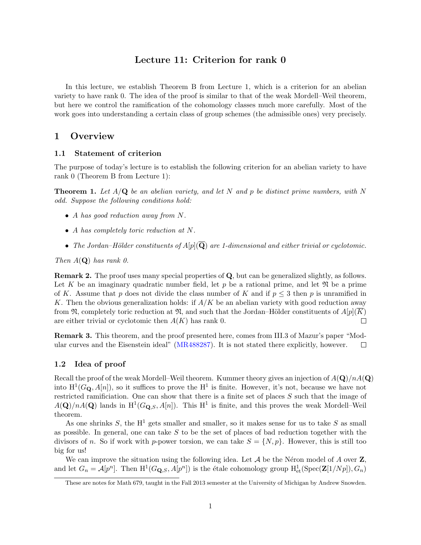## Lecture 11: Criterion for rank 0

In this lecture, we establish Theorem B from Lecture 1, which is a criterion for an abelian variety to have rank 0. The idea of the proof is similar to that of the weak Mordell–Weil theorem, but here we control the ramification of the cohomology classes much more carefully. Most of the work goes into understanding a certain class of group schemes (the admissible ones) very precisely.

#### 1 Overview

#### 1.1 Statement of criterion

The purpose of today's lecture is to establish the following criterion for an abelian variety to have rank 0 (Theorem B from Lecture 1):

Theorem 1. *Let A/*Q *be an abelian variety, and let N and p be distinct prime numbers, with N odd. Suppose the following conditions hold:*

- *• A has good reduction away from N.*
- *• A has completely toric reduction at N.*
- The Jordan–Hölder constituents of  $A[p](\overline{Q})$  are 1-dimensional and either trivial or cyclotomic.

*Then*  $A(Q)$  *has rank 0.* 

Remark 2. The proof uses many special properties of Q, but can be generalized slightly, as follows. Let K be an imaginary quadratic number field, let p be a rational prime, and let  $\mathfrak{N}$  be a prime of *K*. Assume that *p* does not divide the class number of *K* and if  $p \leq 3$  then *p* is unramified in *K*. Then the obvious generalization holds: if *A/K* be an abelian variety with good reduction away from  $\mathfrak{N}$ , completely toric reduction at  $\mathfrak{N}$ , and such that the Jordan–Hölder constituents of  $A[p](K)$ are either trivial or cyclotomic then  $A(K)$  has rank 0.  $\Box$ 

Remark 3. This theorem, and the proof presented here, comes from III.3 of Mazur's paper "Modular curves and the Eisenstein ideal" (MR488287). It is not stated there explicitly, however.  $\Box$ 

#### 1.2 Idea of proof

Recall the proof of the weak Mordell–Weil theorem. Kummer theory gives an injection of *A*(Q)*/nA*(Q) into  $H^1(G_{\mathbf{Q}}, A[n])$ , so it suffices to prove the  $H^1$  is finite. However, it's not, because we have not restricted ramificiation. One can show that there is a finite set of places *S* such that the image of  $A(\mathbf{Q})/nA(\mathbf{Q})$  lands in  $\mathrm{H}^1(G_{\mathbf{Q},S}, A[n])$ . This  $\mathrm{H}^1$  is finite, and this proves the weak Mordell–Weil theorem.

As one shrinks  $S$ , the  $H^1$  gets smaller and smaller, so it makes sense for us to take  $S$  as small as possible. In general, one can take *S* to be the set of places of bad reduction together with the divisors of *n*. So if work with *p*-power torsion, we can take  $S = \{N, p\}$ . However, this is still too big for us!

We can improve the situation using the following idea. Let  $A$  be the Néron model of  $A$  over  $\mathbf{Z}$ , and let  $G_n = \mathcal{A}[p^n]$ . Then  $\mathrm{H}^1(G_{\mathbf{Q},S}, A[p^n])$  is the étale cohomology group  $\mathrm{H}^1_{\mathrm{et}}(\mathrm{Spec}(\mathbf{Z}[1/Np]), G_n)$ 

These are notes for Math 679, taught in the Fall 2013 semester at the University of Michigan by Andrew Snowden.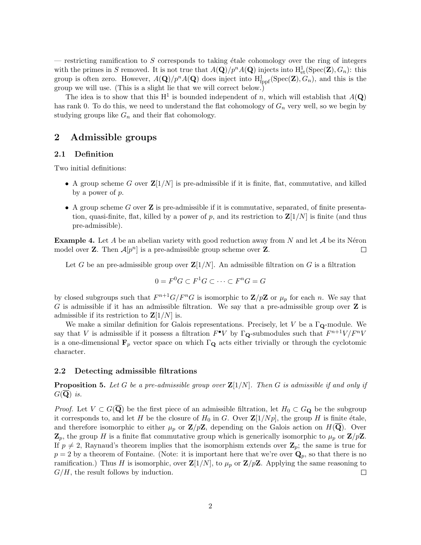$-$  restricting ramification to *S* corresponds to taking étale cohomology over the ring of integers with the primes in *S* removed. It is not true that  $A(\mathbf{Q})/p^n A(\mathbf{Q})$  injects into  $H^1_{\text{et}}(\text{Spec}(\mathbf{Z}), G_n)$ : this group is often zero. However,  $A(\mathbf{Q})/p^n A(\mathbf{Q})$  does inject into  $H^1_{\text{fppf}}(\text{Spec}(\mathbf{Z}), G_n)$ , and this is the group we will use. (This is a slight lie that we will correct below.)

The idea is to show that this  $H^1$  is bounded independent of *n*, which will establish that  $A(Q)$ has rank 0. To do this, we need to understand the flat cohomology of  $G_n$  very well, so we begin by studying groups like  $G_n$  and their flat cohomology.

## 2 Admissible groups

#### 2.1 Definition

Two initial definitions:

- A group scheme *G* over  $\mathbf{Z}[1/N]$  is pre-admissible if it is finite, flat, commutative, and killed by a power of *p*.
- A group scheme *G* over **Z** is pre-admissible if it is commutative, separated, of finite presentation, quasi-finite, flat, killed by a power of p, and its restriction to  $\mathbf{Z}[1/N]$  is finite (and thus pre-admissible).

**Example 4.** Let *A* be an abelian variety with good reduction away from *N* and let *A* be its Néron model over **Z**. Then  $A[p^n]$  is a pre-admissible group scheme over **Z**. model over **Z**. Then  $\mathcal{A}[p^n]$  is a pre-admissible group scheme over **Z**.

Let *G* be an pre-admissible group over  $\mathbb{Z}[1/N]$ . An admissible filtration on *G* is a filtration

$$
0 = F^0 G \subset F^1 G \subset \cdots \subset F^n G = G
$$

by closed subgroups such that  $F^{n+1}G/F^nG$  is isomorphic to  $\mathbf{Z}/p\mathbf{Z}$  or  $\mu_p$  for each *n*. We say that *G* is admissible if it has an admissible filtration. We say that a pre-admissible group over **Z** is admissible if its restriction to Z[1*/N*] is.

We make a similar definition for Galois representations. Precisely, let  $V$  be a  $\Gamma_{\mathbf{Q}}$ -module. We say that *V* is admissible if it possess a filtration  $F^{\bullet}V$  by  $\Gamma_{\mathbf{Q}}$ -submodules such that  $F^{n+1}V/F^nV$ is a one-dimensional  $\mathbf{F}_p$  vector space on which  $\Gamma_{\mathbf{Q}}$  acts either trivially or through the cyclotomic character.

#### 2.2 Detecting admissible filtrations

**Proposition 5.** Let *G* be a pre-admissible group over  $\mathbb{Z}[1/N]$ . Then *G* is admissible if and only if *G*(Q) *is.*

*Proof.* Let  $V \subset G(\overline{\mathbf{Q}})$  be the first piece of an admissible filtration, let  $H_0 \subset G_{\mathbf{Q}}$  be the subgroup it corresponds to, and let *H* be the closure of  $H_0$  in *G*. Over  $\mathbb{Z}[1/Np]$ , the group *H* is finite étale, and therefore isomorphic to either  $\mu_p$  or  $\mathbf{Z}/p\mathbf{Z}$ , depending on the Galois action on  $H(\mathbf{Q})$ . Over  $\mathbf{Z}_p$ , the group *H* is a finite flat commutative group which is generically isomorphic to  $\mu_p$  or  $\mathbf{Z}/p\mathbf{Z}$ . If  $p \neq 2$ , Raynaud's theorem implies that the isomorphism extends over  $\mathbf{Z}_p$ ; the same is true for  $p = 2$  by a theorem of Fontaine. (Note: it is important here that we're over  $\mathbf{Q}_p$ , so that there is no ramification.) Thus *H* is isomorphic, over  $\mathbb{Z}[1/N]$ , to  $\mu_p$  or  $\mathbb{Z}/p\mathbb{Z}$ . Applying the same reasoning to *G/H*, the result follows by induction.  $\Box$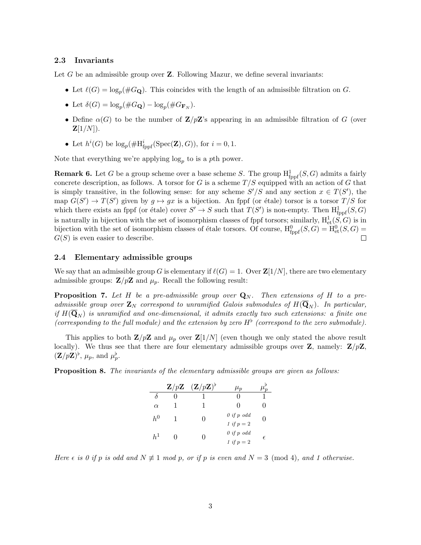#### 2.3 Invariants

Let *G* be an admissible group over **Z**. Following Mazur, we define several invariants:

- Let  $\ell(G) = \log_n(\#G_{\mathbf{Q}})$ . This coincides with the length of an admissible filtration on *G*.
- Let  $\delta(G) = \log_p(\#G_{\mathbf{Q}}) \log_p(\#G_{\mathbf{F}_N}).$
- Define  $\alpha(G)$  to be the number of  $\mathbf{Z}/p\mathbf{Z}'$ 's appearing in an admissible filtration of *G* (over **).**
- Let  $h^i(G)$  be  $\log_p(\# H^i_{\text{fppf}}(\text{Spec}(\mathbf{Z}), G))$ , for  $i = 0, 1$ .

Note that everything we're applying  $\log_p$  to is a *pth* power.

**Remark 6.** Let *G* be a group scheme over a base scheme *S*. The group  $H_{\text{fppf}}^1(S, G)$  admits a fairly concrete description, as follows. A torsor for *G* is a scheme *T /S* equipped with an action of *G* that is simply transitive, in the following sense: for any scheme  $S'/S$  and any section  $x \in T(S')$ , the map  $G(S') \to T(S')$  given by  $g \mapsto gx$  is a bijection. An fppf (or étale) torsor is a torsor  $T/S$  for which there exists an fppf (or étale) cover  $S' \to S$  such that  $T(S')$  is non-empty. Then  $H^{1}_{\text{fppf}}(S, G)$ is naturally in bijection with the set of isomorphism classes of fppf torsors; similarly,  $H^1_{\text{et}}(S, G)$  is in bijection with the set of isomorphism classes of étale torsors. Of course,  $H^0_{\text{fppf}}(S, G) = H^0_{\text{et}}(S, G)$  $G(S)$  is even easier to describe. П

#### 2.4 Elementary admissible groups

We say that an admissible group *G* is elementary if  $\ell(G) = 1$ . Over  $\mathbb{Z}[1/N]$ , there are two elementary admissible groups:  $\mathbf{Z}/p\mathbf{Z}$  and  $\mu_p$ . Recall the following result:

**Proposition 7.** Let *H* be a pre-admissible group over  $\mathbf{Q}_N$ . Then extensions of *H* to a pre*admissible group over* Z*<sup>N</sup> correspond to unramified Galois submodules of H*(Q*<sup>N</sup>* )*. In particular, if*  $H(\overline{\mathbf{Q}}_N)$  *is unramified and one-dimensional, it admits exactly two such extensions: a finite one (corresponding to the full module) and the extension by zero*  $H^{\flat}$  *(correspond to the zero submodule).* 

This applies to both  $\mathbf{Z}/p\mathbf{Z}$  and  $\mu_p$  over  $\mathbf{Z}[1/N]$  (even though we only stated the above result locally). We thus see that there are four elementary admissible groups over **Z**, namely:  $\mathbf{Z}/p\mathbf{Z}$ ,  $(\mathbf{Z}/p\mathbf{Z})^{\flat}$ ,  $\mu_p$ , and  $\mu_p^{\flat}$ .

Proposition 8. *The invariants of the elementary admissible groups are given as follows:*

|                | $\mathbf{Z}/p\mathbf{Z}$ $(\mathbf{Z}/p\mathbf{Z})^{\flat}$ | $\mu_{\bm{p}}$                  |   |
|----------------|-------------------------------------------------------------|---------------------------------|---|
| δ              |                                                             | $\mathbf{\mathbf{I}}$           |   |
| $\alpha$       | ı                                                           |                                 | 0 |
| $h^0$          | 0                                                           | $\theta$ if p odd               |   |
| h <sup>1</sup> |                                                             | 1 if $p=2$<br>$\theta$ if p odd | € |
|                |                                                             | 1 if $p=2$                      |   |

*Here*  $\epsilon$  *is 0 if*  $p$  *is odd and*  $N \not\equiv 1 \mod p$ *, or if*  $p$  *is even and*  $N = 3 \pmod{4}$ *, and* 1 otherwise.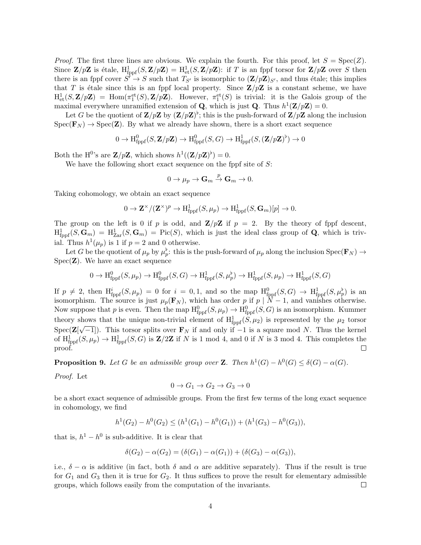*Proof.* The first three lines are obvious. We explain the fourth. For this proof, let  $S = Spec(Z)$ . Since  $\mathbf{Z}/p\mathbf{Z}$  is étale,  $H^1_{\text{fppf}}(S, \mathbf{Z}/p\mathbf{Z}) = H^1_{\text{et}}(S, \mathbf{Z}/p\mathbf{Z})$ : if *T* is an fppf torsor for  $\mathbf{Z}/p\mathbf{Z}$  over *S* then there is an fppf cover  $S^{\prime} \to S$  such that  $T_{S}$ <sup>0</sup> is isomorphic to  $(\mathbf{Z}/p\mathbf{Z})_{S}$ <sup>0</sup>, and thus étale; this implies that *T* is étale since this is an fppf local property. Since  $\mathbf{Z}/p\mathbf{Z}$  is a constant scheme, we have  $H^1_{\text{et}}(S, \mathbf{Z}/p\mathbf{Z}) = \text{Hom}(\pi_1^{\text{et}}(S), \mathbf{Z}/p\mathbf{Z}).$  However,  $\pi_1^{\text{et}}(S)$  is trivial: it is the Galois group of the maximal everywhere unramified extension of **Q**, which is just **Q**. Thus  $h^1(\mathbf{Z}/p\mathbf{Z}) = 0$ .

Let *G* be the quotient of  $\mathbf{Z}/p\mathbf{Z}$  by  $(\mathbf{Z}/p\mathbf{Z})^{\flat}$ ; this is the push-forward of  $\mathbf{Z}/p\mathbf{Z}$  along the inclusion  $Spec(\mathbf{F}_N) \to Spec(\mathbf{Z})$ . By what we already have shown, there is a short exact sequence

$$
0 \to \mathrm{H}^0_{\mathrm{fppf}}(S, \mathbf{Z}/p\mathbf{Z}) \to \mathrm{H}^0_{\mathrm{fppf}}(S, G) \to \mathrm{H}^1_{\mathrm{fppf}}(S, (\mathbf{Z}/p\mathbf{Z})^{\flat}) \to 0
$$

Both the H<sup>0</sup>'s are  $\mathbf{Z}/p\mathbf{Z}$ , which shows  $h^1((\mathbf{Z}/p\mathbf{Z})^{\flat}) = 0$ .

We have the following short exact sequence on the fppf site of *S*:

$$
0 \to \mu_p \to \mathbf{G}_m \overset{p}{\to} \mathbf{G}_m \to 0.
$$

Taking cohomology, we obtain an exact sequence

$$
0 \to \mathbf{Z}^{\times} / (\mathbf{Z}^{\times})^p \to \mathrm{H}^1_{\mathrm{fppf}}(S, \mu_p) \to \mathrm{H}^1_{\mathrm{fppf}}(S, \mathbf{G}_m)[p] \to 0.
$$

The group on the left is 0 if *p* is odd, and  $\mathbb{Z}/p\mathbb{Z}$  if  $p = 2$ . By the theory of fppf descent,  $H^1_{\text{fppf}}(S,\mathbf{G}_m) = H^1_{\text{Zar}}(S,\mathbf{G}_m) = \text{Pic}(S)$ , which is just the ideal class group of Q, which is trivial. Thus  $h^1(\mu_p)$  is 1 if  $p=2$  and 0 otherwise.

Let *G* be the quotient of  $\mu_p$  by  $\mu_p^{\flat}$ : this is the push-forward of  $\mu_p$  along the inclusion  $Spec(\mathbf{F}_N) \to$  $Spec(\mathbf{Z})$ . We have an exact sequence

$$
0 \to \mathrm{H}^0_{\text{fppf}}(S, \mu_p) \to \mathrm{H}^0_{\text{fppf}}(S, G) \to \mathrm{H}^1_{\text{fppf}}(S, \mu_p^{\flat}) \to \mathrm{H}^1_{\text{fppf}}(S, \mu_p) \to \mathrm{H}^1_{\text{fppf}}(S, G)
$$

If  $p \neq 2$ , then  $\text{H}^i_{\text{fppf}}(S, \mu_p) = 0$  for  $i = 0, 1$ , and so the map  $\text{H}^0_{\text{fppf}}(S, G) \rightarrow \text{H}^1_{\text{fppf}}(S, \mu_p^{\flat})$  is an isomorphism. The source is just  $\mu_p(\mathbf{F}_N)$ , which has order *p* if  $p \mid N-1$ , and vanishes otherwise. Now suppose that *p* is even. Then the map  $H^0_{\text{fppf}}(S, \mu_p) \to H^0_{\text{fppf}}(S, G)$  is an isomorphism. Kummer theory shows that the unique non-trivial element of  $H^{1}_{\text{fppf}}(S,\mu_2)$  is represented by the  $\mu_2$  torsor  $Spec(\mathbf{Z}[\sqrt{-1}])$ . This torsor splits over  $\mathbf{F}_N$  if and only if  $-1$  is a square mod *N*. Thus the kernel of  $H^1_{\text{fppf}}(S,\mu_p) \to H^1_{\text{fppf}}(S,G)$  is  $\mathbb{Z}/2\mathbb{Z}$  if *N* is 1 mod 4, and 0 if *N* is 3 mod 4. This completes the proof.  $\Box$ 

**Proposition 9.** Let *G* be an admissible group over **Z**. Then  $h^1(G) - h^0(G) \leq \delta(G) - \alpha(G)$ .

*Proof.* Let

$$
0 \to G_1 \to G_2 \to G_3 \to 0
$$

be a short exact sequence of admissible groups. From the first few terms of the long exact sequence in cohomology, we find

$$
h1(G2) - h0(G2) \le (h1(G1) - h0(G1)) + (h1(G3) - h0(G3)),
$$

that is,  $h^1 - h^0$  is sub-additive. It is clear that

$$
\delta(G_2) - \alpha(G_2) = (\delta(G_1) - \alpha(G_1)) + (\delta(G_3) - \alpha(G_3)),
$$

i.e.,  $\delta - \alpha$  is additive (in fact, both  $\delta$  and  $\alpha$  are additive separately). Thus if the result is true for  $G_1$  and  $G_3$  then it is true for  $G_2$ . It thus suffices to prove the result for elementary admissible groups, which follows easily from the computation of the invariants.  $\Box$